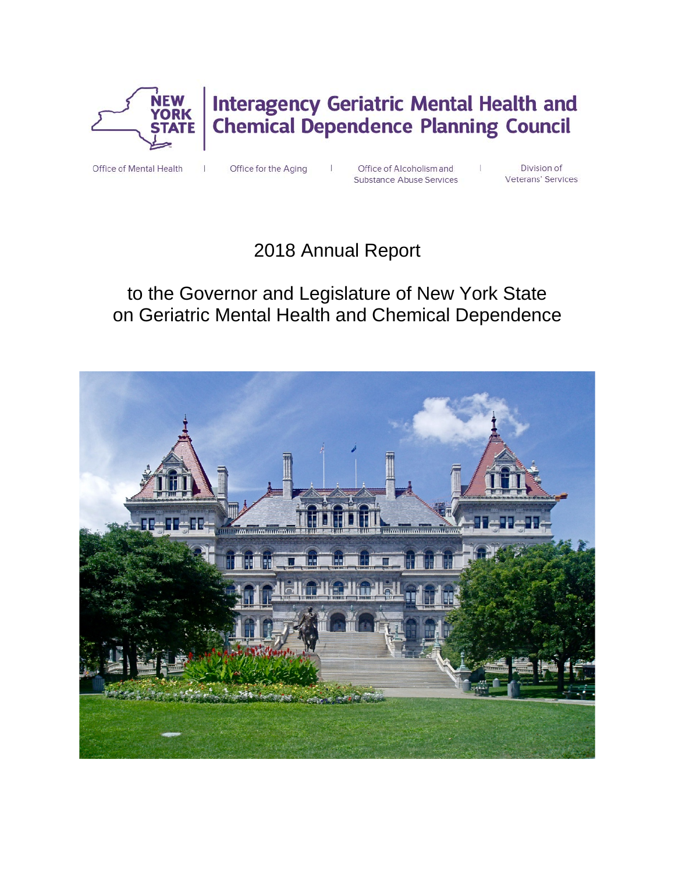

# **Interagency Geriatric Mental Health and<br>Chemical Dependence Planning Council**

Office of Mental Health

Office for the Aging

Office of Alcoholism and Substance Abuse Services

Division of Veterans' Services

 $\mathbf{I}$ 

# 2018 Annual Report

# to the Governor and Legislature of New York State on Geriatric Mental Health and Chemical Dependence

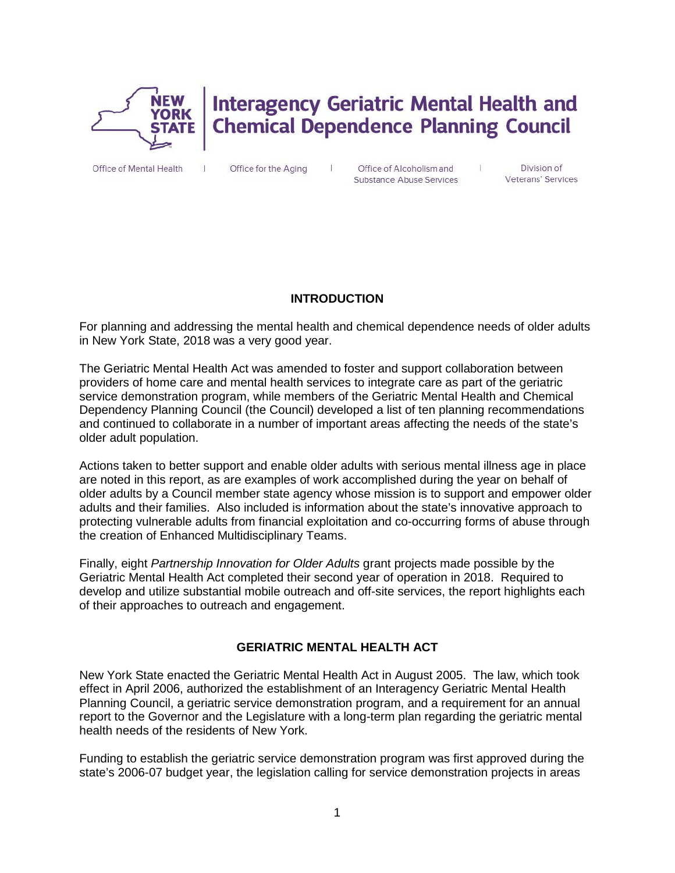

# **Interagency Geriatric Mental Health and Chemical Dependence Planning Council**

Office of Mental Health

Office for the Aging

Office of Alcoholism and Substance Abuse Services

Division of Veterans' Services

 $\perp$ 

#### **INTRODUCTION**

 $\mathbf{I}$ 

For planning and addressing the mental health and chemical dependence needs of older adults in New York State, 2018 was a very good year.

The Geriatric Mental Health Act was amended to foster and support collaboration between providers of home care and mental health services to integrate care as part of the geriatric service demonstration program, while members of the Geriatric Mental Health and Chemical Dependency Planning Council (the Council) developed a list of ten planning recommendations and continued to collaborate in a number of important areas affecting the needs of the state's older adult population.

Actions taken to better support and enable older adults with serious mental illness age in place are noted in this report, as are examples of work accomplished during the year on behalf of older adults by a Council member state agency whose mission is to support and empower older adults and their families. Also included is information about the state's innovative approach to protecting vulnerable adults from financial exploitation and co-occurring forms of abuse through the creation of Enhanced Multidisciplinary Teams.

Finally, eight *Partnership Innovation for Older Adults* grant projects made possible by the Geriatric Mental Health Act completed their second year of operation in 2018. Required to develop and utilize substantial mobile outreach and off-site services, the report highlights each of their approaches to outreach and engagement.

# **GERIATRIC MENTAL HEALTH ACT**

New York State enacted the Geriatric Mental Health Act in August 2005. The law, which took effect in April 2006, authorized the establishment of an Interagency Geriatric Mental Health Planning Council, a geriatric service demonstration program, and a requirement for an annual report to the Governor and the Legislature with a long-term plan regarding the geriatric mental health needs of the residents of New York.

Funding to establish the geriatric service demonstration program was first approved during the state's 2006-07 budget year, the legislation calling for service demonstration projects in areas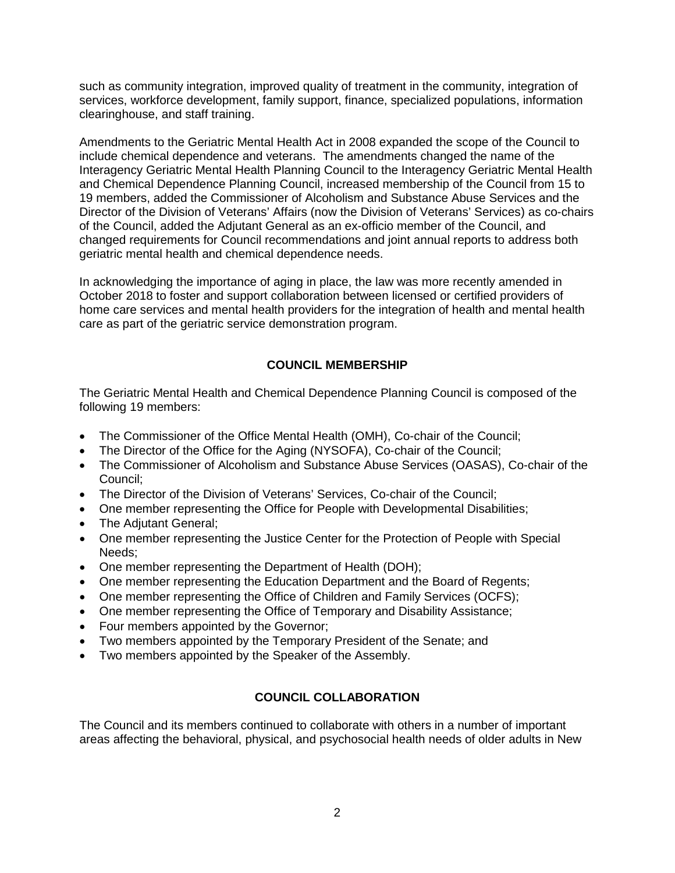such as community integration, improved quality of treatment in the community, integration of services, workforce development, family support, finance, specialized populations, information clearinghouse, and staff training.

Amendments to the Geriatric Mental Health Act in 2008 expanded the scope of the Council to include chemical dependence and veterans. The amendments changed the name of the Interagency Geriatric Mental Health Planning Council to the Interagency Geriatric Mental Health and Chemical Dependence Planning Council, increased membership of the Council from 15 to 19 members, added the Commissioner of Alcoholism and Substance Abuse Services and the Director of the Division of Veterans' Affairs (now the Division of Veterans' Services) as co-chairs of the Council, added the Adjutant General as an ex-officio member of the Council, and changed requirements for Council recommendations and joint annual reports to address both geriatric mental health and chemical dependence needs.

In acknowledging the importance of aging in place, the law was more recently amended in October 2018 to foster and support collaboration between licensed or certified providers of home care services and mental health providers for the integration of health and mental health care as part of the geriatric service demonstration program.

# **COUNCIL MEMBERSHIP**

The Geriatric Mental Health and Chemical Dependence Planning Council is composed of the following 19 members:

- The Commissioner of the Office Mental Health (OMH), Co-chair of the Council;
- The Director of the Office for the Aging (NYSOFA), Co-chair of the Council;
- The Commissioner of Alcoholism and Substance Abuse Services (OASAS), Co-chair of the Council;
- The Director of the Division of Veterans' Services, Co-chair of the Council;
- One member representing the Office for People with Developmental Disabilities;
- The Adiutant General:
- One member representing the Justice Center for the Protection of People with Special Needs;
- One member representing the Department of Health (DOH);
- One member representing the Education Department and the Board of Regents;
- One member representing the Office of Children and Family Services (OCFS);
- One member representing the Office of Temporary and Disability Assistance;
- Four members appointed by the Governor;
- Two members appointed by the Temporary President of the Senate; and
- Two members appointed by the Speaker of the Assembly.

# **COUNCIL COLLABORATION**

The Council and its members continued to collaborate with others in a number of important areas affecting the behavioral, physical, and psychosocial health needs of older adults in New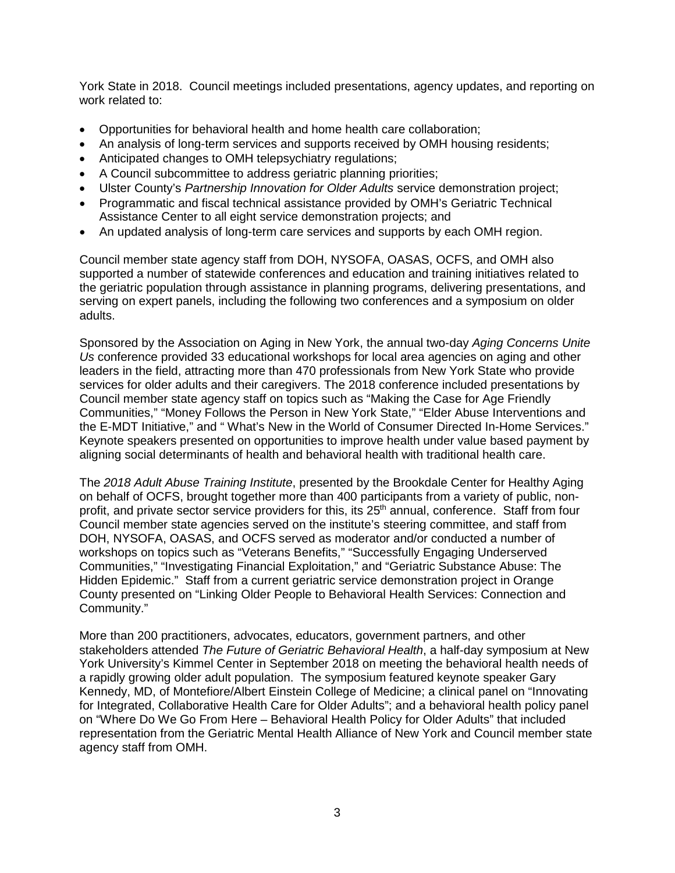York State in 2018. Council meetings included presentations, agency updates, and reporting on work related to:

- Opportunities for behavioral health and home health care collaboration;
- An analysis of long-term services and supports received by OMH housing residents;
- Anticipated changes to OMH telepsychiatry regulations;
- A Council subcommittee to address geriatric planning priorities;
- Ulster County's *Partnership Innovation for Older Adults* service demonstration project;
- Programmatic and fiscal technical assistance provided by OMH's Geriatric Technical Assistance Center to all eight service demonstration projects; and
- An updated analysis of long-term care services and supports by each OMH region.

Council member state agency staff from DOH, NYSOFA, OASAS, OCFS, and OMH also supported a number of statewide conferences and education and training initiatives related to the geriatric population through assistance in planning programs, delivering presentations, and serving on expert panels, including the following two conferences and a symposium on older adults.

Sponsored by the Association on Aging in New York, the annual two-day *Aging Concerns Unite Us* conference provided 33 educational workshops for local area agencies on aging and other leaders in the field, attracting more than 470 professionals from New York State who provide services for older adults and their caregivers. The 2018 conference included presentations by Council member state agency staff on topics such as "Making the Case for Age Friendly Communities," "Money Follows the Person in New York State," "Elder Abuse Interventions and the E-MDT Initiative," and " What's New in the World of Consumer Directed In-Home Services." Keynote speakers presented on opportunities to improve health under value based payment by aligning social determinants of health and behavioral health with traditional health care.

The *2018 Adult Abuse Training Institute*, presented by the Brookdale Center for Healthy Aging on behalf of OCFS, brought together more than 400 participants from a variety of public, nonprofit, and private sector service providers for this, its 25<sup>th</sup> annual, conference. Staff from four Council member state agencies served on the institute's steering committee, and staff from DOH, NYSOFA, OASAS, and OCFS served as moderator and/or conducted a number of workshops on topics such as "Veterans Benefits," "Successfully Engaging Underserved Communities," "Investigating Financial Exploitation," and "Geriatric Substance Abuse: The Hidden Epidemic." Staff from a current geriatric service demonstration project in Orange County presented on "Linking Older People to Behavioral Health Services: Connection and Community."

More than 200 practitioners, advocates, educators, government partners, and other stakeholders attended *The Future of Geriatric Behavioral Health*, a half-day symposium at New York University's Kimmel Center in September 2018 on meeting the behavioral health needs of a rapidly growing older adult population. The symposium featured keynote speaker Gary Kennedy, MD, of Montefiore/Albert Einstein College of Medicine; a clinical panel on "Innovating for Integrated, Collaborative Health Care for Older Adults"; and a behavioral health policy panel on "Where Do We Go From Here – Behavioral Health Policy for Older Adults" that included representation from the Geriatric Mental Health Alliance of New York and Council member state agency staff from OMH.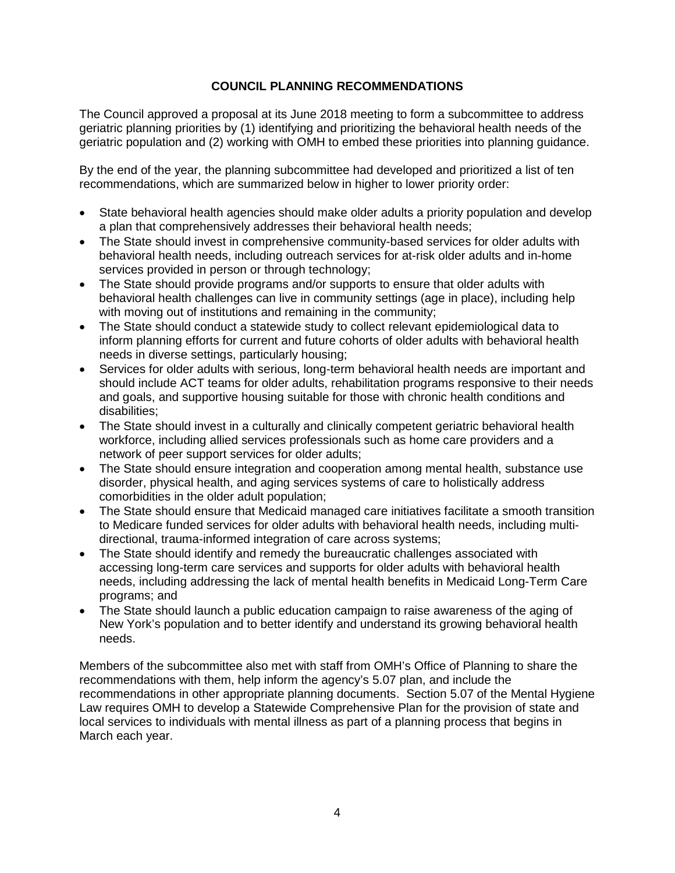#### **COUNCIL PLANNING RECOMMENDATIONS**

The Council approved a proposal at its June 2018 meeting to form a subcommittee to address geriatric planning priorities by (1) identifying and prioritizing the behavioral health needs of the geriatric population and (2) working with OMH to embed these priorities into planning guidance.

By the end of the year, the planning subcommittee had developed and prioritized a list of ten recommendations, which are summarized below in higher to lower priority order:

- State behavioral health agencies should make older adults a priority population and develop a plan that comprehensively addresses their behavioral health needs;
- The State should invest in comprehensive community-based services for older adults with behavioral health needs, including outreach services for at-risk older adults and in-home services provided in person or through technology;
- The State should provide programs and/or supports to ensure that older adults with behavioral health challenges can live in community settings (age in place), including help with moving out of institutions and remaining in the community;
- The State should conduct a statewide study to collect relevant epidemiological data to inform planning efforts for current and future cohorts of older adults with behavioral health needs in diverse settings, particularly housing;
- Services for older adults with serious, long-term behavioral health needs are important and should include ACT teams for older adults, rehabilitation programs responsive to their needs and goals, and supportive housing suitable for those with chronic health conditions and disabilities;
- The State should invest in a culturally and clinically competent geriatric behavioral health workforce, including allied services professionals such as home care providers and a network of peer support services for older adults;
- The State should ensure integration and cooperation among mental health, substance use disorder, physical health, and aging services systems of care to holistically address comorbidities in the older adult population;
- The State should ensure that Medicaid managed care initiatives facilitate a smooth transition to Medicare funded services for older adults with behavioral health needs, including multidirectional, trauma-informed integration of care across systems;
- The State should identify and remedy the bureaucratic challenges associated with accessing long-term care services and supports for older adults with behavioral health needs, including addressing the lack of mental health benefits in Medicaid Long-Term Care programs; and
- The State should launch a public education campaign to raise awareness of the aging of New York's population and to better identify and understand its growing behavioral health needs.

Members of the subcommittee also met with staff from OMH's Office of Planning to share the recommendations with them, help inform the agency's 5.07 plan, and include the recommendations in other appropriate planning documents. Section 5.07 of the Mental Hygiene Law requires OMH to develop a Statewide Comprehensive Plan for the provision of state and local services to individuals with mental illness as part of a planning process that begins in March each year.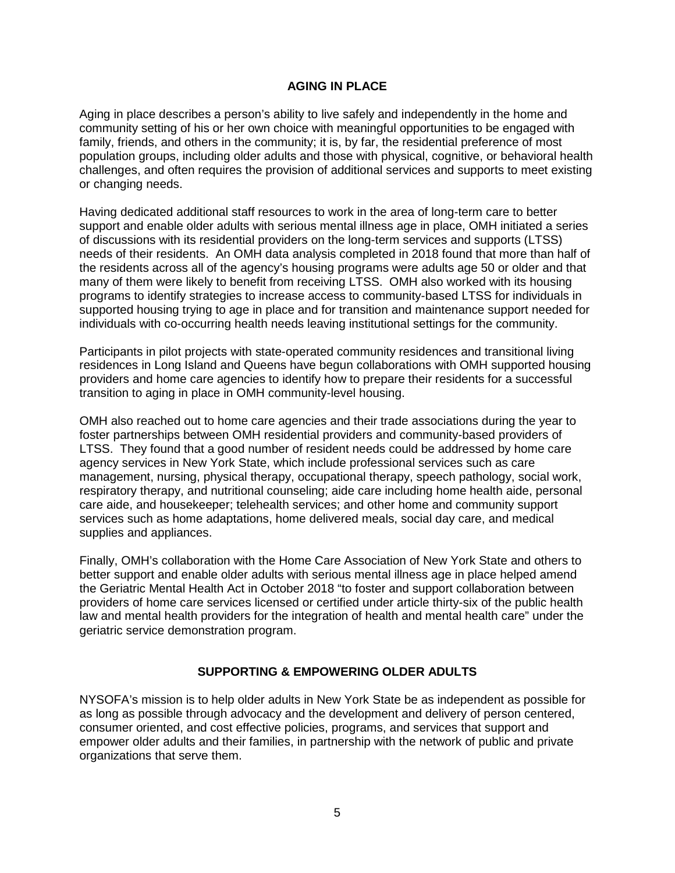#### **AGING IN PLACE**

Aging in place describes a person's ability to live safely and independently in the home and community setting of his or her own choice with meaningful opportunities to be engaged with family, friends, and others in the community; it is, by far, the residential preference of most population groups, including older adults and those with physical, cognitive, or behavioral health challenges, and often requires the provision of additional services and supports to meet existing or changing needs.

Having dedicated additional staff resources to work in the area of long-term care to better support and enable older adults with serious mental illness age in place, OMH initiated a series of discussions with its residential providers on the long-term services and supports (LTSS) needs of their residents. An OMH data analysis completed in 2018 found that more than half of the residents across all of the agency's housing programs were adults age 50 or older and that many of them were likely to benefit from receiving LTSS. OMH also worked with its housing programs to identify strategies to increase access to community-based LTSS for individuals in supported housing trying to age in place and for transition and maintenance support needed for individuals with co-occurring health needs leaving institutional settings for the community.

Participants in pilot projects with state-operated community residences and transitional living residences in Long Island and Queens have begun collaborations with OMH supported housing providers and home care agencies to identify how to prepare their residents for a successful transition to aging in place in OMH community-level housing.

OMH also reached out to home care agencies and their trade associations during the year to foster partnerships between OMH residential providers and community-based providers of LTSS. They found that a good number of resident needs could be addressed by home care agency services in New York State, which include professional services such as care management, nursing, physical therapy, occupational therapy, speech pathology, social work, respiratory therapy, and nutritional counseling; aide care including home health aide, personal care aide, and housekeeper; telehealth services; and other home and community support services such as home adaptations, home delivered meals, social day care, and medical supplies and appliances.

Finally, OMH's collaboration with the Home Care Association of New York State and others to better support and enable older adults with serious mental illness age in place helped amend the Geriatric Mental Health Act in October 2018 "to foster and support collaboration between providers of home care services licensed or certified under article thirty-six of the public health law and mental health providers for the integration of health and mental health care" under the geriatric service demonstration program.

#### **SUPPORTING & EMPOWERING OLDER ADULTS**

NYSOFA's mission is to help older adults in New York State be as independent as possible for as long as possible through advocacy and the development and delivery of person centered, consumer oriented, and cost effective policies, programs, and services that support and empower older adults and their families, in partnership with the network of public and private organizations that serve them.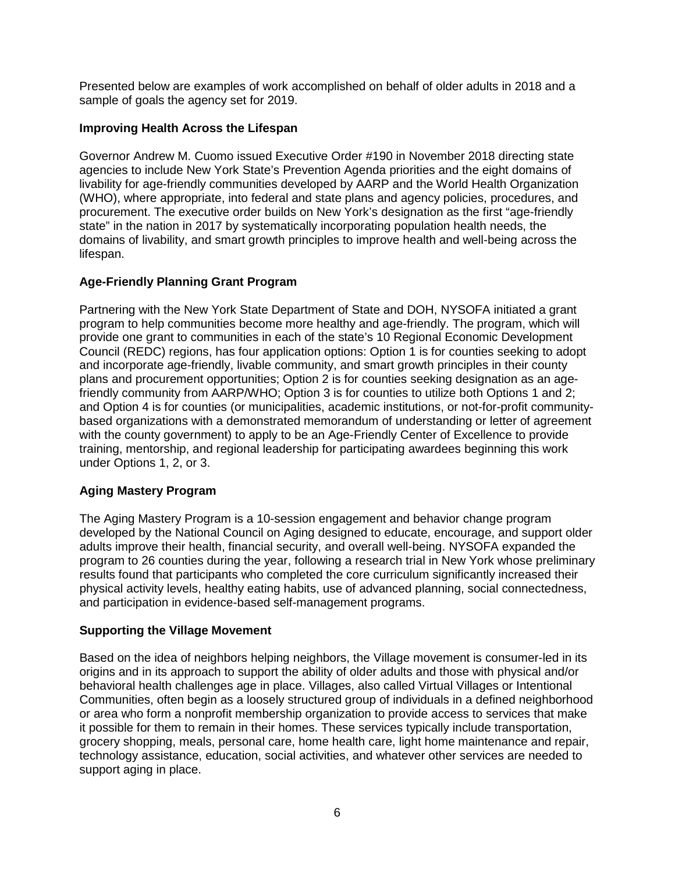Presented below are examples of work accomplished on behalf of older adults in 2018 and a sample of goals the agency set for 2019.

#### **Improving Health Across the Lifespan**

Governor Andrew M. Cuomo issued Executive Order #190 in November 2018 directing state agencies to include New York State's Prevention Agenda priorities and the eight domains of livability for age-friendly communities developed by AARP and the World Health Organization (WHO), where appropriate, into federal and state plans and agency policies, procedures, and procurement. The executive order builds on New York's designation as the first "age-friendly state" in the nation in 2017 by systematically incorporating population health needs, the domains of livability, and smart growth principles to improve health and well-being across the lifespan.

#### **Age-Friendly Planning Grant Program**

Partnering with the New York State Department of State and DOH, NYSOFA initiated a grant program to help communities become more healthy and age-friendly. The program, which will provide one grant to communities in each of the state's 10 Regional Economic Development Council (REDC) regions, has four application options: Option 1 is for counties seeking to adopt and incorporate age-friendly, livable community, and smart growth principles in their county plans and procurement opportunities; Option 2 is for counties seeking designation as an agefriendly community from AARP/WHO; Option 3 is for counties to utilize both Options 1 and 2; and Option 4 is for counties (or municipalities, academic institutions, or not-for-profit communitybased organizations with a demonstrated memorandum of understanding or letter of agreement with the county government) to apply to be an Age-Friendly Center of Excellence to provide training, mentorship, and regional leadership for participating awardees beginning this work under Options 1, 2, or 3.

# **Aging Mastery Program**

The Aging Mastery Program is a 10-session engagement and behavior change program developed by the National Council on Aging designed to educate, encourage, and support older adults improve their health, financial security, and overall well-being. NYSOFA expanded the program to 26 counties during the year, following a research trial in New York whose preliminary results found that participants who completed the core curriculum significantly increased their physical activity levels, healthy eating habits, use of advanced planning, social connectedness, and participation in evidence-based self-management programs.

#### **Supporting the Village Movement**

Based on the idea of neighbors helping neighbors, the Village movement is consumer-led in its origins and in its approach to support the ability of older adults and those with physical and/or behavioral health challenges age in place. Villages, also called Virtual Villages or Intentional Communities, often begin as a loosely structured group of individuals in a defined neighborhood or area who form a nonprofit membership organization to provide access to services that make it possible for them to remain in their homes. These services typically include transportation, grocery shopping, meals, personal care, home health care, light home maintenance and repair, technology assistance, education, social activities, and whatever other services are needed to support aging in place.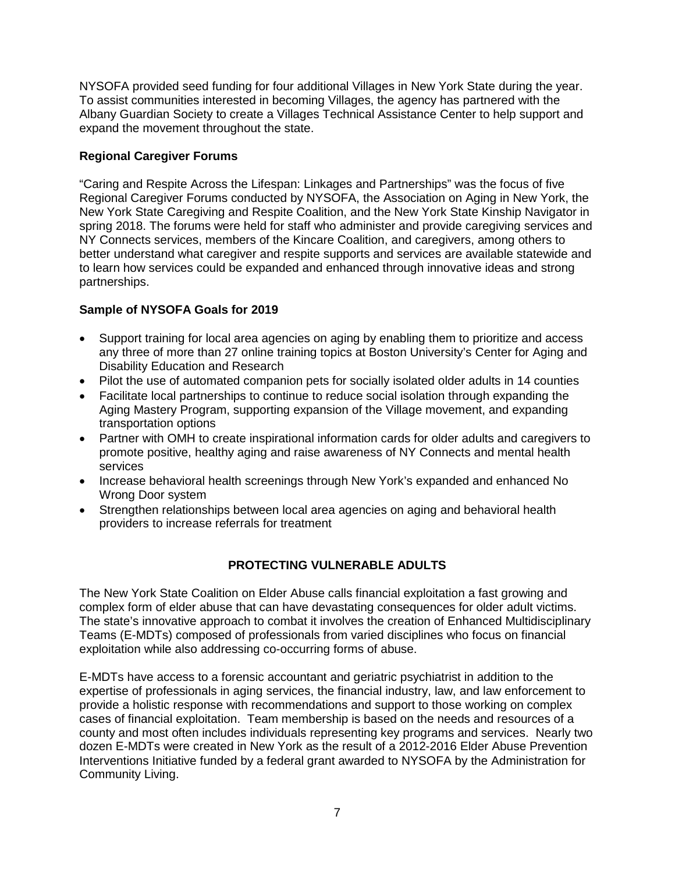NYSOFA provided seed funding for four additional Villages in New York State during the year. To assist communities interested in becoming Villages, the agency has partnered with the Albany Guardian Society to create a Villages Technical Assistance Center to help support and expand the movement throughout the state.

#### **Regional Caregiver Forums**

"Caring and Respite Across the Lifespan: Linkages and Partnerships" was the focus of five Regional Caregiver Forums conducted by NYSOFA, the Association on Aging in New York, the New York State Caregiving and Respite Coalition, and the New York State Kinship Navigator in spring 2018. The forums were held for staff who administer and provide caregiving services and NY Connects services, members of the Kincare Coalition, and caregivers, among others to better understand what caregiver and respite supports and services are available statewide and to learn how services could be expanded and enhanced through innovative ideas and strong partnerships.

#### **Sample of NYSOFA Goals for 2019**

- Support training for local area agencies on aging by enabling them to prioritize and access any three of more than 27 online training topics at Boston University's Center for Aging and Disability Education and Research
- Pilot the use of automated companion pets for socially isolated older adults in 14 counties
- Facilitate local partnerships to continue to reduce social isolation through expanding the Aging Mastery Program, supporting expansion of the Village movement, and expanding transportation options
- Partner with OMH to create inspirational information cards for older adults and caregivers to promote positive, healthy aging and raise awareness of NY Connects and mental health services
- Increase behavioral health screenings through New York's expanded and enhanced No Wrong Door system
- Strengthen relationships between local area agencies on aging and behavioral health providers to increase referrals for treatment

# **PROTECTING VULNERABLE ADULTS**

The New York State Coalition on Elder Abuse calls financial exploitation a fast growing and complex form of elder abuse that can have devastating consequences for older adult victims. The state's innovative approach to combat it involves the creation of Enhanced Multidisciplinary Teams (E-MDTs) composed of professionals from varied disciplines who focus on financial exploitation while also addressing co-occurring forms of abuse.

E-MDTs have access to a forensic accountant and geriatric psychiatrist in addition to the expertise of professionals in aging services, the financial industry, law, and law enforcement to provide a holistic response with recommendations and support to those working on complex cases of financial exploitation. Team membership is based on the needs and resources of a county and most often includes individuals representing key programs and services. Nearly two dozen E-MDTs were created in New York as the result of a 2012-2016 Elder Abuse Prevention Interventions Initiative funded by a federal grant awarded to NYSOFA by the Administration for Community Living.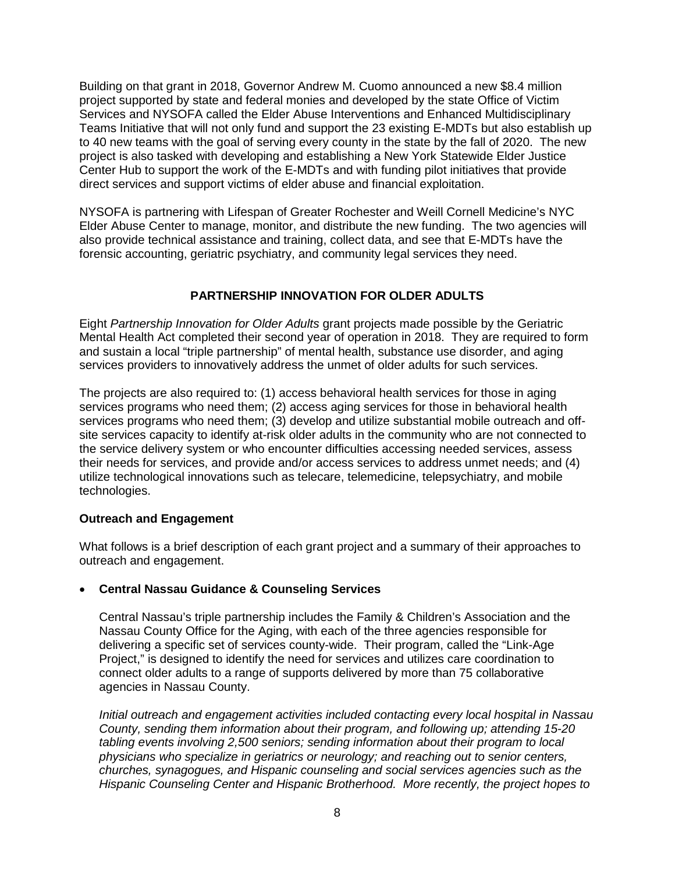Building on that grant in 2018, Governor Andrew M. Cuomo announced a new \$8.4 million project supported by state and federal monies and developed by the state Office of Victim Services and NYSOFA called the Elder Abuse Interventions and Enhanced Multidisciplinary Teams Initiative that will not only fund and support the 23 existing E-MDTs but also establish up to 40 new teams with the goal of serving every county in the state by the fall of 2020. The new project is also tasked with developing and establishing a New York Statewide Elder Justice Center Hub to support the work of the E-MDTs and with funding pilot initiatives that provide direct services and support victims of elder abuse and financial exploitation.

NYSOFA is partnering with Lifespan of Greater Rochester and Weill Cornell Medicine's NYC Elder Abuse Center to manage, monitor, and distribute the new funding. The two agencies will also provide technical assistance and training, collect data, and see that E-MDTs have the forensic accounting, geriatric psychiatry, and community legal services they need.

#### **PARTNERSHIP INNOVATION FOR OLDER ADULTS**

Eight *Partnership Innovation for Older Adults* grant projects made possible by the Geriatric Mental Health Act completed their second year of operation in 2018. They are required to form and sustain a local "triple partnership" of mental health, substance use disorder, and aging services providers to innovatively address the unmet of older adults for such services.

The projects are also required to: (1) access behavioral health services for those in aging services programs who need them; (2) access aging services for those in behavioral health services programs who need them; (3) develop and utilize substantial mobile outreach and offsite services capacity to identify at-risk older adults in the community who are not connected to the service delivery system or who encounter difficulties accessing needed services, assess their needs for services, and provide and/or access services to address unmet needs; and (4) utilize technological innovations such as telecare, telemedicine, telepsychiatry, and mobile technologies.

#### **Outreach and Engagement**

What follows is a brief description of each grant project and a summary of their approaches to outreach and engagement.

#### • **Central Nassau Guidance & Counseling Services**

Central Nassau's triple partnership includes the Family & Children's Association and the Nassau County Office for the Aging, with each of the three agencies responsible for delivering a specific set of services county-wide. Their program, called the "Link-Age Project," is designed to identify the need for services and utilizes care coordination to connect older adults to a range of supports delivered by more than 75 collaborative agencies in Nassau County.

*Initial outreach and engagement activities included contacting every local hospital in Nassau County, sending them information about their program, and following up; attending 15-20 tabling events involving 2,500 seniors; sending information about their program to local physicians who specialize in geriatrics or neurology; and reaching out to senior centers, churches, synagogues, and Hispanic counseling and social services agencies such as the Hispanic Counseling Center and Hispanic Brotherhood. More recently, the project hopes to*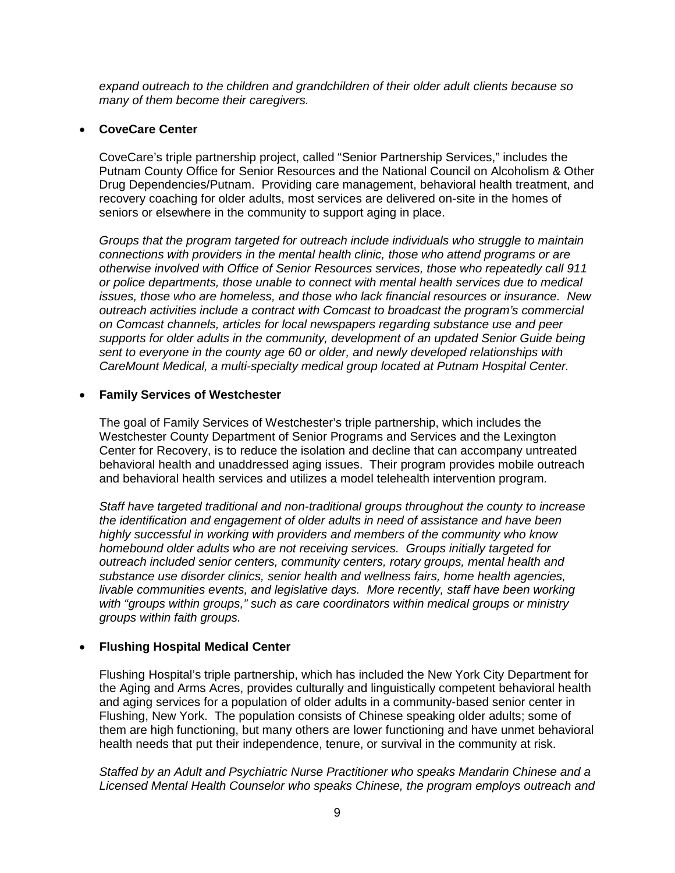*expand outreach to the children and grandchildren of their older adult clients because so many of them become their caregivers.*

#### • **CoveCare Center**

CoveCare's triple partnership project, called "Senior Partnership Services," includes the Putnam County Office for Senior Resources and the National Council on Alcoholism & Other Drug Dependencies/Putnam. Providing care management, behavioral health treatment, and recovery coaching for older adults, most services are delivered on-site in the homes of seniors or elsewhere in the community to support aging in place.

*Groups that the program targeted for outreach include individuals who struggle to maintain connections with providers in the mental health clinic, those who attend programs or are otherwise involved with Office of Senior Resources services, those who repeatedly call 911 or police departments, those unable to connect with mental health services due to medical issues, those who are homeless, and those who lack financial resources or insurance. New outreach activities include a contract with Comcast to broadcast the program's commercial on Comcast channels, articles for local newspapers regarding substance use and peer supports for older adults in the community, development of an updated Senior Guide being sent to everyone in the county age 60 or older, and newly developed relationships with CareMount Medical, a multi-specialty medical group located at Putnam Hospital Center.*

#### • **Family Services of Westchester**

The goal of Family Services of Westchester's triple partnership, which includes the Westchester County Department of Senior Programs and Services and the Lexington Center for Recovery, is to reduce the isolation and decline that can accompany untreated behavioral health and unaddressed aging issues. Their program provides mobile outreach and behavioral health services and utilizes a model telehealth intervention program*.* 

*Staff have targeted traditional and non-traditional groups throughout the county to increase the identification and engagement of older adults in need of assistance and have been highly successful in working with providers and members of the community who know homebound older adults who are not receiving services. Groups initially targeted for outreach included senior centers, community centers, rotary groups, mental health and substance use disorder clinics, senior health and wellness fairs, home health agencies, livable communities events, and legislative days. More recently, staff have been working with "groups within groups," such as care coordinators within medical groups or ministry groups within faith groups.* 

#### • **Flushing Hospital Medical Center**

Flushing Hospital's triple partnership, which has included the New York City Department for the Aging and Arms Acres, provides culturally and linguistically competent behavioral health and aging services for a population of older adults in a community-based senior center in Flushing, New York. The population consists of Chinese speaking older adults; some of them are high functioning, but many others are lower functioning and have unmet behavioral health needs that put their independence, tenure, or survival in the community at risk.

*Staffed by an Adult and Psychiatric Nurse Practitioner who speaks Mandarin Chinese and a Licensed Mental Health Counselor who speaks Chinese, the program employs outreach and*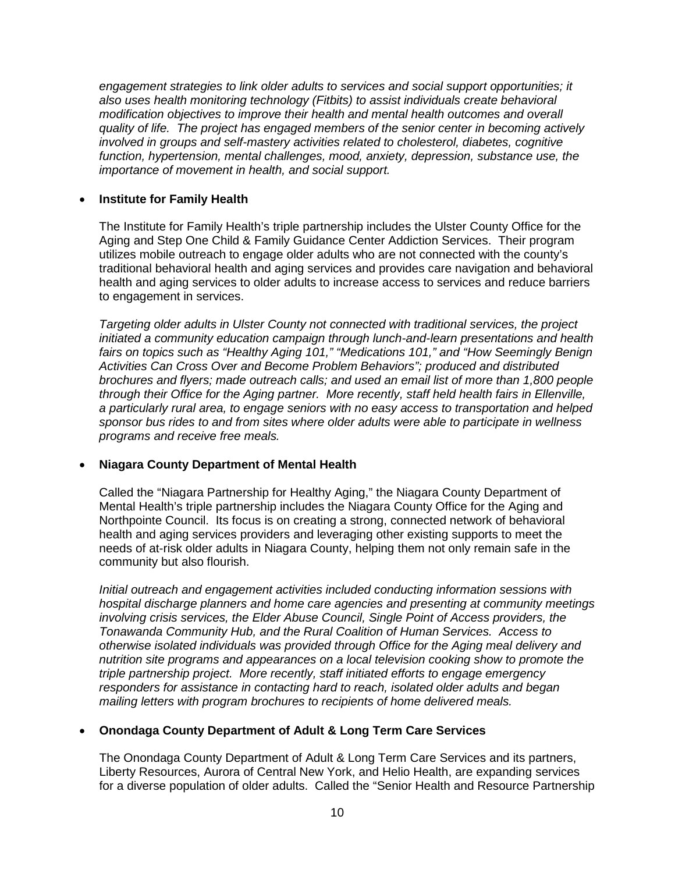*engagement strategies to link older adults to services and social support opportunities; it also uses health monitoring technology (Fitbits) to assist individuals create behavioral modification objectives to improve their health and mental health outcomes and overall quality of life. The project has engaged members of the senior center in becoming actively involved in groups and self-mastery activities related to cholesterol, diabetes, cognitive function, hypertension, mental challenges, mood, anxiety, depression, substance use, the importance of movement in health, and social support.* 

#### • **Institute for Family Health**

The Institute for Family Health's triple partnership includes the Ulster County Office for the Aging and Step One Child & Family Guidance Center Addiction Services. Their program utilizes mobile outreach to engage older adults who are not connected with the county's traditional behavioral health and aging services and provides care navigation and behavioral health and aging services to older adults to increase access to services and reduce barriers to engagement in services.

*Targeting older adults in Ulster County not connected with traditional services, the project initiated a community education campaign through lunch-and-learn presentations and health fairs on topics such as "Healthy Aging 101," "Medications 101," and "How Seemingly Benign Activities Can Cross Over and Become Problem Behaviors"; produced and distributed brochures and flyers; made outreach calls; and used an email list of more than 1,800 people through their Office for the Aging partner. More recently, staff held health fairs in Ellenville, a particularly rural area, to engage seniors with no easy access to transportation and helped sponsor bus rides to and from sites where older adults were able to participate in wellness programs and receive free meals.*

#### • **Niagara County Department of Mental Health**

Called the "Niagara Partnership for Healthy Aging," the Niagara County Department of Mental Health's triple partnership includes the Niagara County Office for the Aging and Northpointe Council. Its focus is on creating a strong, connected network of behavioral health and aging services providers and leveraging other existing supports to meet the needs of at-risk older adults in Niagara County, helping them not only remain safe in the community but also flourish.

*Initial outreach and engagement activities included conducting information sessions with hospital discharge planners and home care agencies and presenting at community meetings involving crisis services, the Elder Abuse Council, Single Point of Access providers, the Tonawanda Community Hub, and the Rural Coalition of Human Services. Access to otherwise isolated individuals was provided through Office for the Aging meal delivery and nutrition site programs and appearances on a local television cooking show to promote the triple partnership project. More recently, staff initiated efforts to engage emergency responders for assistance in contacting hard to reach, isolated older adults and began mailing letters with program brochures to recipients of home delivered meals.*

#### • **Onondaga County Department of Adult & Long Term Care Services**

The Onondaga County Department of Adult & Long Term Care Services and its partners, Liberty Resources, Aurora of Central New York, and Helio Health, are expanding services for a diverse population of older adults. Called the "Senior Health and Resource Partnership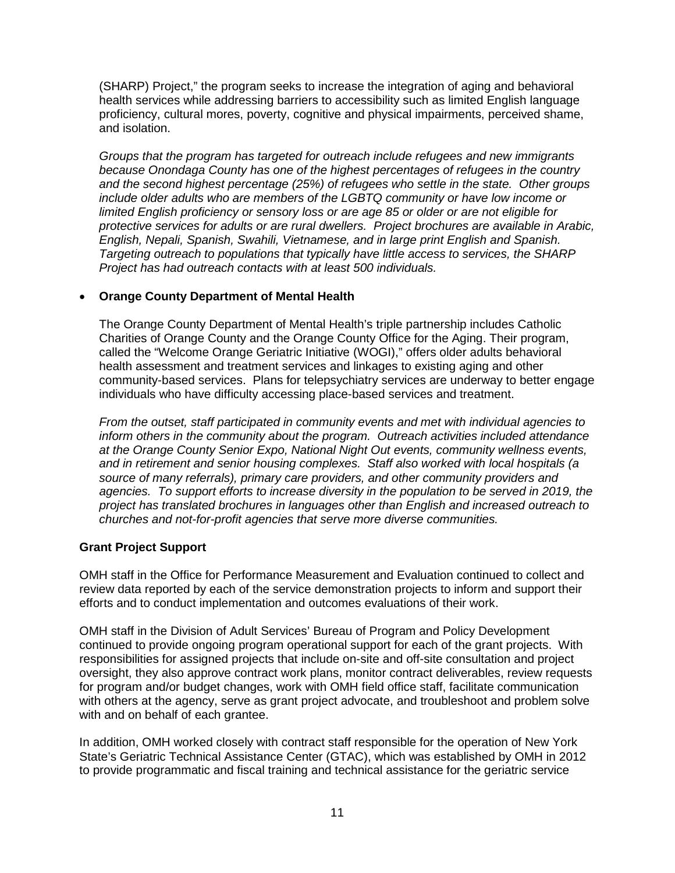(SHARP) Project," the program seeks to increase the integration of aging and behavioral health services while addressing barriers to accessibility such as limited English language proficiency, cultural mores, poverty, cognitive and physical impairments, perceived shame, and isolation.

*Groups that the program has targeted for outreach include refugees and new immigrants because Onondaga County has one of the highest percentages of refugees in the country and the second highest percentage (25%) of refugees who settle in the state. Other groups include older adults who are members of the LGBTQ community or have low income or limited English proficiency or sensory loss or are age 85 or older or are not eligible for protective services for adults or are rural dwellers. Project brochures are available in Arabic, English, Nepali, Spanish, Swahili, Vietnamese, and in large print English and Spanish. Targeting outreach to populations that typically have little access to services, the SHARP Project has had outreach contacts with at least 500 individuals.*

#### • **Orange County Department of Mental Health**

The Orange County Department of Mental Health's triple partnership includes Catholic Charities of Orange County and the Orange County Office for the Aging. Their program, called the "Welcome Orange Geriatric Initiative (WOGI)," offers older adults behavioral health assessment and treatment services and linkages to existing aging and other community-based services. Plans for telepsychiatry services are underway to better engage individuals who have difficulty accessing place-based services and treatment.

*From the outset, staff participated in community events and met with individual agencies to inform others in the community about the program. Outreach activities included attendance at the Orange County Senior Expo, National Night Out events, community wellness events, and in retirement and senior housing complexes. Staff also worked with local hospitals (a source of many referrals), primary care providers, and other community providers and*  agencies. To support efforts to increase diversity in the population to be served in 2019, the *project has translated brochures in languages other than English and increased outreach to churches and not-for-profit agencies that serve more diverse communities.*

#### **Grant Project Support**

OMH staff in the Office for Performance Measurement and Evaluation continued to collect and review data reported by each of the service demonstration projects to inform and support their efforts and to conduct implementation and outcomes evaluations of their work.

OMH staff in the Division of Adult Services' Bureau of Program and Policy Development continued to provide ongoing program operational support for each of the grant projects. With responsibilities for assigned projects that include on-site and off-site consultation and project oversight, they also approve contract work plans, monitor contract deliverables, review requests for program and/or budget changes, work with OMH field office staff, facilitate communication with others at the agency, serve as grant project advocate, and troubleshoot and problem solve with and on behalf of each grantee.

In addition, OMH worked closely with contract staff responsible for the operation of New York State's Geriatric Technical Assistance Center (GTAC), which was established by OMH in 2012 to provide programmatic and fiscal training and technical assistance for the geriatric service